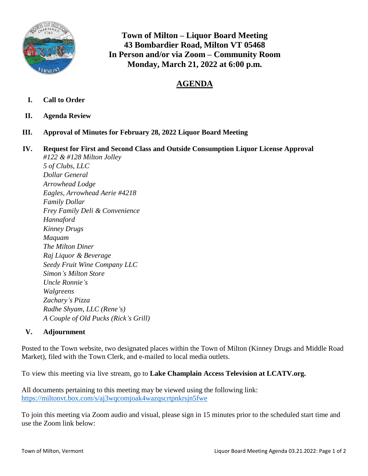

**Town of Milton – Liquor Board Meeting 43 Bombardier Road, Milton VT 05468 In Person and/or via Zoom – Community Room Monday, March 21, 2022 at 6:00 p.m.**

## **AGENDA**

- **I. Call to Order**
- **II. Agenda Review**
- **III. Approval of Minutes for February 28, 2022 Liquor Board Meeting**
- **IV. Request for First and Second Class and Outside Consumption Liquor License Approval**  *#122 & #128 Milton Jolley*

*5 of Clubs, LLC Dollar General Arrowhead Lodge Eagles, Arrowhead Aerie #4218 Family Dollar Frey Family Deli & Convenience Hannaford Kinney Drugs Maquam The Milton Diner Raj Liquor & Beverage Seedy Fruit Wine Company LLC Simon's Milton Store Uncle Ronnie's Walgreens Zachary's Pizza Radhe Shyam, LLC (Rene's) A Couple of Old Pucks (Rick's Grill)*

## **V. Adjournment**

Posted to the Town website, two designated places within the Town of Milton (Kinney Drugs and Middle Road Market), filed with the Town Clerk, and e-mailed to local media outlets.

To view this meeting via live stream, go to **Lake Champlain Access Television at LCATV.org.**

All documents pertaining to this meeting may be viewed using the following link: <https://miltonvt.box.com/s/aj3wqcomjoak4wazqscrtpnkrsjn5fwe>

To join this meeting via Zoom audio and visual, please sign in 15 minutes prior to the scheduled start time and use the Zoom link below: